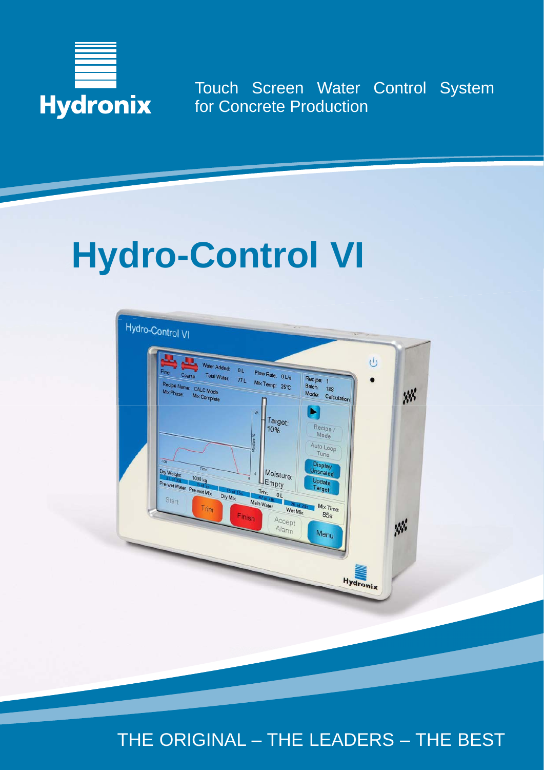

Touch Screen Water Control System for Concrete Production

# **Hydro-Control VI**



THE ORIGINAL – THE LEADERS – THE BEST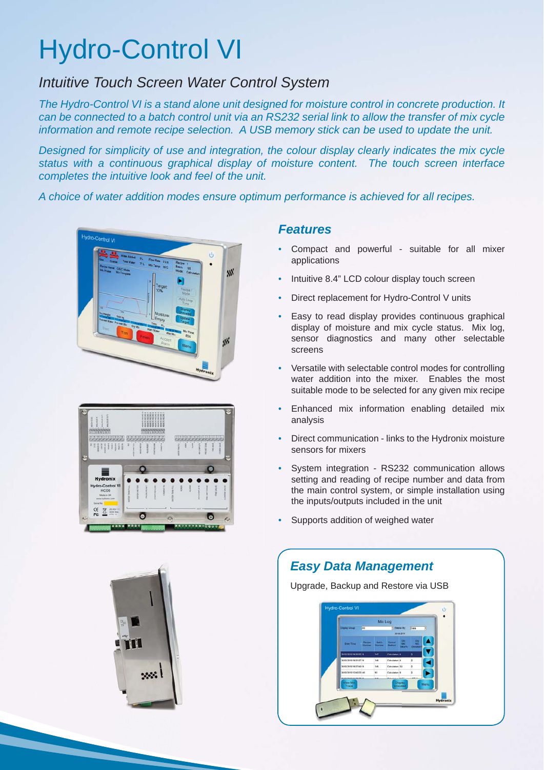## Hydro-Control VI

## *Intuitive Touch Screen Water Control System*

*The Hydro-Control VI is a stand alone unit designed for moisture control in concrete production. It can be connected to a batch control unit via an RS232 serial link to allow the transfer of mix cycle information and remote recipe selection. A USB memory stick can be used to update the unit.*

*Designed for simplicity of use and integration, the colour display clearly indicates the mix cycle status with a continuous graphical display of moisture content. The touch screen interface completes the intuitive look and feel of the unit.*

*A choice of water addition modes ensure optimum performance is achieved for all recipes.*







## *Features*

- Compact and powerful suitable for all mixer applications
- Intuitive 8.4" LCD colour display touch screen
- Direct replacement for Hydro-Control V units
- Easy to read display provides continuous graphical display of moisture and mix cycle status. Mix log, sensor diagnostics and many other selectable screens
- Versatile with selectable control modes for controlling water addition into the mixer. Enables the most suitable mode to be selected for any given mix recipe
- Enhanced mix information enabling detailed mix analysis
- Direct communication links to the Hydronix moisture sensors for mixers
- System integration RS232 communication allows setting and reading of recipe number and data from the main control system, or simple installation using the inputs/outputs included in the unit
- Supports addition of weighed water

## *Easy Data Management*

Upgrade, Backup and Restore via USB

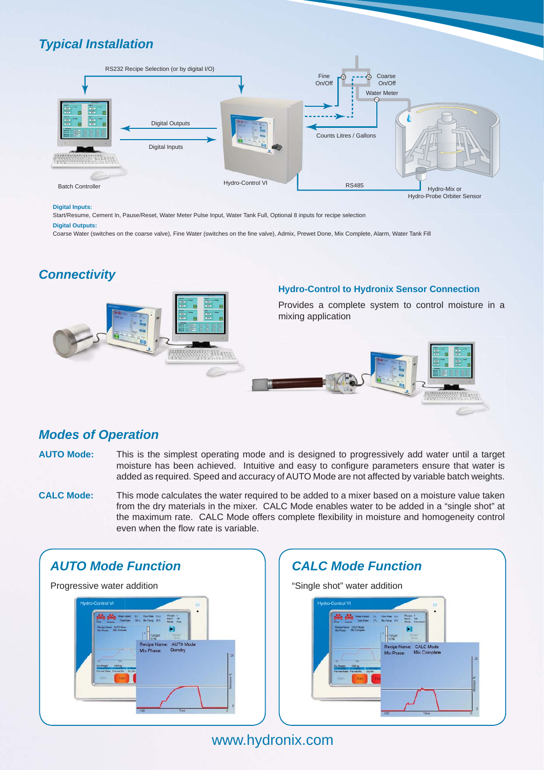## *Typical Installation*



#### **Digital Inputs:**

Start/Resume, Cement In, Pause/Reset, Water Meter Pulse Input, Water Tank Full, Optional 8 inputs for recipe selection

#### **Digital Outputs:**

Coarse Water (switches on the coarse valve), Fine Water (switches on the fine valve), Admix, Prewet Done, Mix Complete, Alarm, Water Tank Fill

## *Connectivity*



## *Modes of Operation*

- **AUTO Mode:** This is the simplest operating mode and is designed to progressively add water until a target moisture has been achieved. Intuitive and easy to configure parameters ensure that water is added as required. Speed and accuracy of AUTO Mode are not affected by variable batch weights.
- **CALC Mode:** This mode calculates the water required to be added to a mixer based on a moisture value taken from the dry materials in the mixer. CALC Mode enables water to be added in a "single shot" at the maximum rate. CALC Mode offers complete flexibility in moisture and homogeneity control even when the flow rate is variable.





www.hydronix.com